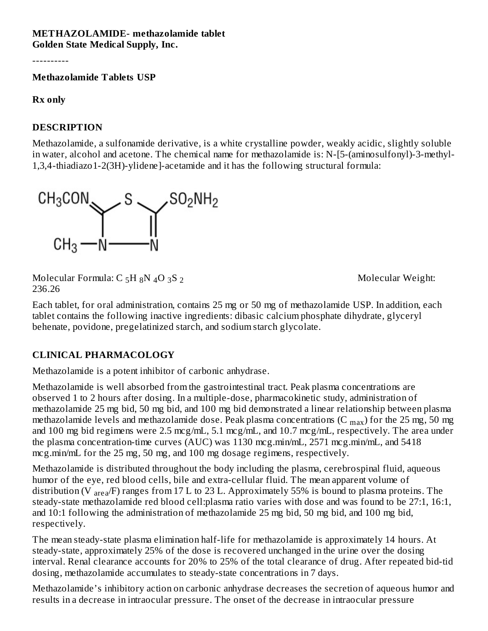#### **METHAZOLAMIDE- methazolamide tablet Golden State Medical Supply, Inc.**

----------

**Methazolamide Tablets USP**

**Rx only**

#### **DESCRIPTION**

Methazolamide, a sulfonamide derivative, is a white crystalline powder, weakly acidic, slightly soluble in water, alcohol and acetone. The chemical name for methazolamide is: N-[5-(aminosulfonyl)-3-methyl-1,3,4-thiadiazo1-2(3H)-ylidene]-acetamide and it has the following structural formula:



Molecular Formula:  $C_5H_8N_4O_3S_2$  Molecular Weight: 236.26

Each tablet, for oral administration, contains 25 mg or 50 mg of methazolamide USP. In addition, each tablet contains the following inactive ingredients: dibasic calcium phosphate dihydrate, glyceryl behenate, povidone, pregelatinized starch, and sodium starch glycolate.

## **CLINICAL PHARMACOLOGY**

Methazolamide is a potent inhibitor of carbonic anhydrase.

Methazolamide is well absorbed from the gastrointestinal tract. Peak plasma concentrations are observed 1 to 2 hours after dosing. In a multiple-dose, pharmacokinetic study, administration of methazolamide 25 mg bid, 50 mg bid, and 100 mg bid demonstrated a linear relationship between plasma methazolamide levels and methazolamide dose. Peak plasma concentrations (C  $_{\rm max}$ ) for the 25 mg, 50 mg and 100 mg bid regimens were 2.5 mcg/mL, 5.1 mcg/mL, and 10.7 mcg/mL, respectively. The area under the plasma concentration-time curves (AUC) was 1130 mcg.min/mL, 2571 mcg.min/mL, and 5418 mcg.min/mL for the 25 mg, 50 mg, and 100 mg dosage regimens, respectively.

Methazolamide is distributed throughout the body including the plasma, cerebrospinal fluid, aqueous humor of the eye, red blood cells, bile and extra-cellular fluid. The mean apparent volume of distribution (V  $_{\text{area}}$ F) ranges from 17 L to 23 L. Approximately 55% is bound to plasma proteins. The steady-state methazolamide red blood cell:plasma ratio varies with dose and was found to be 27:1, 16:1, and 10:1 following the administration of methazolamide 25 mg bid, 50 mg bid, and 100 mg bid, respectively.

The mean steady-state plasma elimination half-life for methazolamide is approximately 14 hours. At steady-state, approximately 25% of the dose is recovered unchanged in the urine over the dosing interval. Renal clearance accounts for 20% to 25% of the total clearance of drug. After repeated bid-tid dosing, methazolamide accumulates to steady-state concentrations in 7 days.

Methazolamide's inhibitory action on carbonic anhydrase decreases the secretion of aqueous humor and results in a decrease in intraocular pressure. The onset of the decrease in intraocular pressure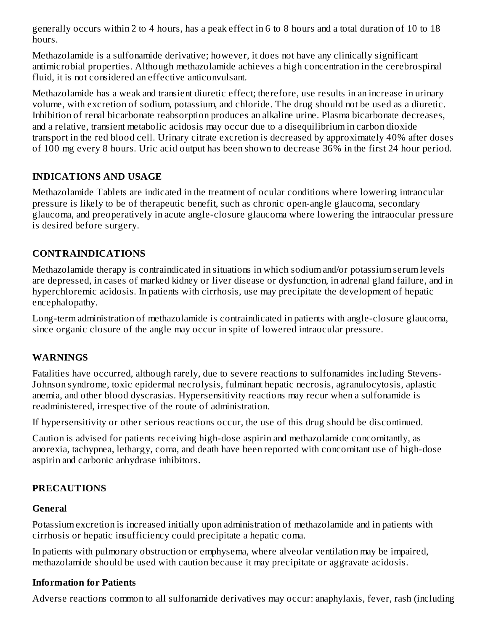generally occurs within 2 to 4 hours, has a peak effect in 6 to 8 hours and a total duration of 10 to 18 hours.

Methazolamide is a sulfonamide derivative; however, it does not have any clinically significant antimicrobial properties. Although methazolamide achieves a high concentration in the cerebrospinal fluid, it is not considered an effective anticonvulsant.

Methazolamide has a weak and transient diuretic effect; therefore, use results in an increase in urinary volume, with excretion of sodium, potassium, and chloride. The drug should not be used as a diuretic. Inhibition of renal bicarbonate reabsorption produces an alkaline urine. Plasma bicarbonate decreases, and a relative, transient metabolic acidosis may occur due to a disequilibrium in carbon dioxide transport in the red blood cell. Urinary citrate excretion is decreased by approximately 40% after doses of 100 mg every 8 hours. Uric acid output has been shown to decrease 36% in the first 24 hour period.

#### **INDICATIONS AND USAGE**

Methazolamide Tablets are indicated in the treatment of ocular conditions where lowering intraocular pressure is likely to be of therapeutic benefit, such as chronic open-angle glaucoma, secondary glaucoma, and preoperatively in acute angle-closure glaucoma where lowering the intraocular pressure is desired before surgery.

## **CONTRAINDICATIONS**

Methazolamide therapy is contraindicated in situations in which sodium and/or potassium serum levels are depressed, in cases of marked kidney or liver disease or dysfunction, in adrenal gland failure, and in hyperchloremic acidosis. In patients with cirrhosis, use may precipitate the development of hepatic encephalopathy.

Long-term administration of methazolamide is contraindicated in patients with angle-closure glaucoma, since organic closure of the angle may occur in spite of lowered intraocular pressure.

## **WARNINGS**

Fatalities have occurred, although rarely, due to severe reactions to sulfonamides including Stevens-Johnson syndrome, toxic epidermal necrolysis, fulminant hepatic necrosis, agranulocytosis, aplastic anemia, and other blood dyscrasias. Hypersensitivity reactions may recur when a sulfonamide is readministered, irrespective of the route of administration.

If hypersensitivity or other serious reactions occur, the use of this drug should be discontinued.

Caution is advised for patients receiving high-dose aspirin and methazolamide concomitantly, as anorexia, tachypnea, lethargy, coma, and death have been reported with concomitant use of high-dose aspirin and carbonic anhydrase inhibitors.

## **PRECAUTIONS**

#### **General**

Potassium excretion is increased initially upon administration of methazolamide and in patients with cirrhosis or hepatic insufficiency could precipitate a hepatic coma.

In patients with pulmonary obstruction or emphysema, where alveolar ventilation may be impaired, methazolamide should be used with caution because it may precipitate or aggravate acidosis.

#### **Information for Patients**

Adverse reactions common to all sulfonamide derivatives may occur: anaphylaxis, fever, rash (including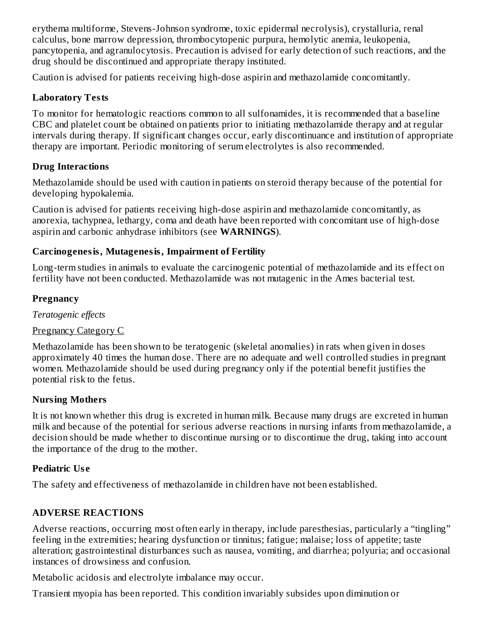erythema multiforme, Stevens-Johnson syndrome, toxic epidermal necrolysis), crystalluria, renal calculus, bone marrow depression, thrombocytopenic purpura, hemolytic anemia, leukopenia, pancytopenia, and agranulocytosis. Precaution is advised for early detection of such reactions, and the drug should be discontinued and appropriate therapy instituted.

Caution is advised for patients receiving high-dose aspirin and methazolamide concomitantly.

## **Laboratory Tests**

To monitor for hematologic reactions common to all sulfonamides, it is recommended that a baseline CBC and platelet count be obtained on patients prior to initiating methazolamide therapy and at regular intervals during therapy. If significant changes occur, early discontinuance and institution of appropriate therapy are important. Periodic monitoring of serum electrolytes is also recommended.

## **Drug Interactions**

Methazolamide should be used with caution in patients on steroid therapy because of the potential for developing hypokalemia.

Caution is advised for patients receiving high-dose aspirin and methazolamide concomitantly, as anorexia, tachypnea, lethargy, coma and death have been reported with concomitant use of high-dose aspirin and carbonic anhydrase inhibitors (see **WARNINGS**).

## **Carcinogenesis, Mutagenesis, Impairment of Fertility**

Long-term studies in animals to evaluate the carcinogenic potential of methazolamide and its effect on fertility have not been conducted. Methazolamide was not mutagenic in the Ames bacterial test.

## **Pregnancy**

*Teratogenic effects*

# Pregnancy Category C

Methazolamide has been shown to be teratogenic (skeletal anomalies) in rats when given in doses approximately 40 times the human dose. There are no adequate and well controlled studies in pregnant women. Methazolamide should be used during pregnancy only if the potential benefit justifies the potential risk to the fetus.

## **Nursing Mothers**

It is not known whether this drug is excreted in human milk. Because many drugs are excreted in human milk and because of the potential for serious adverse reactions in nursing infants from methazolamide, a decision should be made whether to discontinue nursing or to discontinue the drug, taking into account the importance of the drug to the mother.

# **Pediatric Us e**

The safety and effectiveness of methazolamide in children have not been established.

# **ADVERSE REACTIONS**

Adverse reactions, occurring most often early in therapy, include paresthesias, particularly a "tingling" feeling in the extremities; hearing dysfunction or tinnitus; fatigue; malaise; loss of appetite; taste alteration; gastrointestinal disturbances such as nausea, vomiting, and diarrhea; polyuria; and occasional instances of drowsiness and confusion.

Metabolic acidosis and electrolyte imbalance may occur.

Transient myopia has been reported. This condition invariably subsides upon diminution or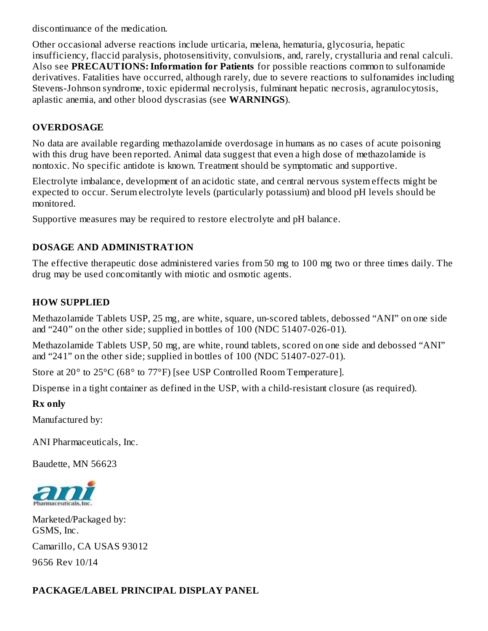discontinuance of the medication.

Other occasional adverse reactions include urticaria, melena, hematuria, glycosuria, hepatic insufficiency, flaccid paralysis, photosensitivity, convulsions, and, rarely, crystalluria and renal calculi. Also see **PRECAUTIONS:Information for Patients** for possible reactions common to sulfonamide derivatives. Fatalities have occurred, although rarely, due to severe reactions to sulfonamides including Stevens-Johnson syndrome, toxic epidermal necrolysis, fulminant hepatic necrosis, agranulocytosis, aplastic anemia, and other blood dyscrasias (see **WARNINGS**).

## **OVERDOSAGE**

No data are available regarding methazolamide overdosage in humans as no cases of acute poisoning with this drug have been reported. Animal data suggest that even a high dose of methazolamide is nontoxic. No specific antidote is known. Treatment should be symptomatic and supportive.

Electrolyte imbalance, development of an acidotic state, and central nervous system effects might be expected to occur. Serum electrolyte levels (particularly potassium) and blood pH levels should be monitored.

Supportive measures may be required to restore electrolyte and pH balance.

## **DOSAGE AND ADMINISTRATION**

The effective therapeutic dose administered varies from 50 mg to 100 mg two or three times daily. The drug may be used concomitantly with miotic and osmotic agents.

#### **HOW SUPPLIED**

Methazolamide Tablets USP, 25 mg, are white, square, un-scored tablets, debossed "ANI" on one side and "240" on the other side; supplied in bottles of 100 (NDC 51407-026-01).

Methazolamide Tablets USP, 50 mg, are white, round tablets, scored on one side and debossed "ANI" and "241" on the other side; supplied in bottles of 100 (NDC 51407-027-01).

Store at 20° to 25°C (68° to 77°F) [see USP Controlled Room Temperature].

Dispense in a tight container as defined in the USP, with a child-resistant closure (as required).

#### **Rx only**

Manufactured by:

ANI Pharmaceuticals, Inc.

Baudette, MN 56623



Marketed/Packaged by: GSMS, Inc. Camarillo, CA USAS 93012 9656 Rev 10/14

## **PACKAGE/LABEL PRINCIPAL DISPLAY PANEL**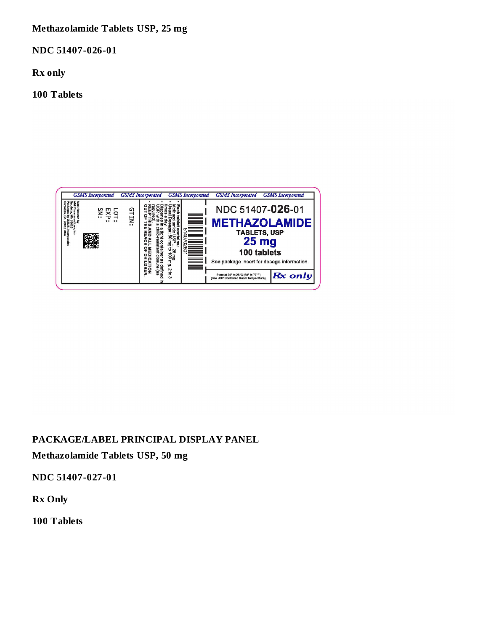**Methazolamide Tablets USP, 25 mg**

**NDC 51407-026-01**

**Rx only**

**100 Tablets**



**PACKAGE/LABEL PRINCIPAL DISPLAY PANEL Methazolamide Tablets USP, 50 mg**

**NDC 51407-027-01**

**Rx Only**

**100 Tablets**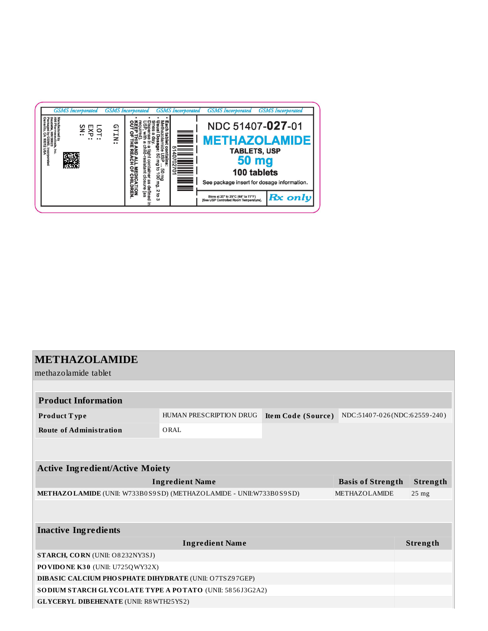| <b>GSMS</b> Incorporated |                                      | <b>GSMS</b> Incorporated                   | <b>GSMS</b> Incorporated | <b>GSMS</b> Incorporated                                                     | <b>GSMS</b> Incorporated |
|--------------------------|--------------------------------------|--------------------------------------------|--------------------------|------------------------------------------------------------------------------|--------------------------|
| m.<br>$\times$           | បា                                   |                                            |                          | NDC 51407-027-01                                                             |                          |
| 킁<br>ē                   | Ξ,<br>                               | ā                                          | ≡                        | <b>METHAZOLAM</b><br><b>TABLETS, USP</b>                                     |                          |
| ncorporatec              |                                      |                                            |                          | <b>50 mg</b>                                                                 |                          |
|                          |                                      | 50 mg                                      |                          | 100 tablets                                                                  |                          |
|                          | SB <sub></sub><br>mg,<br>露<br>8<br>w | See package insert for dosage information. |                          |                                                                              |                          |
|                          |                                      | 큻<br>đ<br>ω<br>⋾                           |                          | Store at 20" to 25°C (68° to 77°F)<br>[See USP Controlled Room Temperature]. | <b>Rx</b> only           |

| <b>METHAZOLAMIDE</b>                                                                                           |                         |                           |                              |          |  |  |
|----------------------------------------------------------------------------------------------------------------|-------------------------|---------------------------|------------------------------|----------|--|--|
| methazolamide tablet                                                                                           |                         |                           |                              |          |  |  |
|                                                                                                                |                         |                           |                              |          |  |  |
| <b>Product Information</b>                                                                                     |                         |                           |                              |          |  |  |
| Product Type                                                                                                   | HUMAN PRESCRIPTION DRUG | <b>Item Code (Source)</b> | NDC:51407-026(NDC:62559-240) |          |  |  |
| <b>Route of Administration</b>                                                                                 | ORAL                    |                           |                              |          |  |  |
|                                                                                                                |                         |                           |                              |          |  |  |
|                                                                                                                |                         |                           |                              |          |  |  |
| <b>Active Ingredient/Active Moiety</b>                                                                         |                         |                           |                              |          |  |  |
| <b>Ingredient Name</b><br><b>Basis of Strength</b><br><b>Strength</b>                                          |                         |                           |                              |          |  |  |
| METHAZOLAMIDE (UNII: W733B0S9SD) (METHAZOLAMIDE - UNII:W733B0S9SD)<br><b>METHAZOLAMIDE</b><br>25 <sub>mg</sub> |                         |                           |                              |          |  |  |
|                                                                                                                |                         |                           |                              |          |  |  |
|                                                                                                                |                         |                           |                              |          |  |  |
| <b>Inactive Ingredients</b>                                                                                    |                         |                           |                              |          |  |  |
|                                                                                                                | <b>Ingredient Name</b>  |                           |                              | Strength |  |  |
| STARCH, CORN (UNII: O8232NY3SJ)                                                                                |                         |                           |                              |          |  |  |
| PO VIDO NE K30 (UNII: U725QWY32X)                                                                              |                         |                           |                              |          |  |  |
| <b>DIBASIC CALCIUM PHO SPHATE DIHYDRATE (UNII: O7TSZ97GEP)</b>                                                 |                         |                           |                              |          |  |  |
| SODIUM STARCH GLYCOLATE TYPE A POTATO (UNII: 5856J3G2A2)                                                       |                         |                           |                              |          |  |  |
| <b>GLYCERYL DIBEHENATE (UNII: R8WTH25YS2)</b>                                                                  |                         |                           |                              |          |  |  |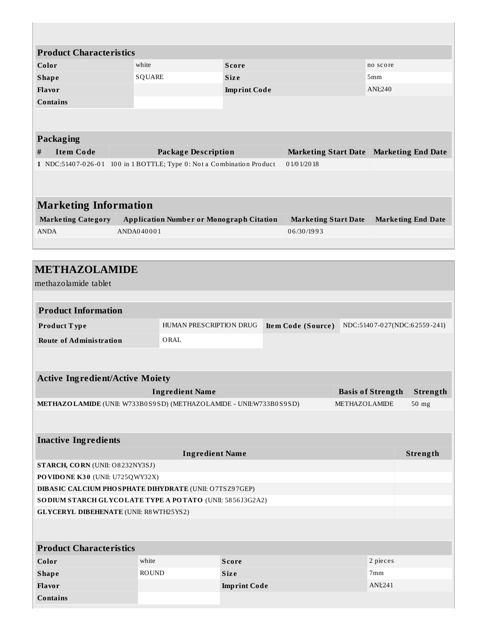| <b>Product Characteristics</b> |                                                                       |                                                 |                     |                             |                           |
|--------------------------------|-----------------------------------------------------------------------|-------------------------------------------------|---------------------|-----------------------------|---------------------------|
| Color                          | white                                                                 |                                                 | <b>Score</b>        |                             | no score                  |
| <b>Shape</b>                   | <b>SQUARE</b>                                                         |                                                 | <b>Size</b>         |                             | 5mm                       |
| Flavor                         |                                                                       |                                                 | <b>Imprint Code</b> |                             | ANI;240                   |
| Contains                       |                                                                       |                                                 |                     |                             |                           |
|                                |                                                                       |                                                 |                     |                             |                           |
|                                |                                                                       |                                                 |                     |                             |                           |
| Packaging                      |                                                                       |                                                 |                     |                             |                           |
| <b>Item Code</b><br>#          |                                                                       | <b>Package Description</b>                      |                     | <b>Marketing Start Date</b> | <b>Marketing End Date</b> |
|                                | 1 NDC:51407-026-01 100 in 1 BOTTLE; Type 0: Not a Combination Product |                                                 |                     | 01/01/2018                  |                           |
|                                |                                                                       |                                                 |                     |                             |                           |
|                                |                                                                       |                                                 |                     |                             |                           |
| <b>Marketing Information</b>   |                                                                       |                                                 |                     |                             |                           |
| <b>Marketing Category</b>      |                                                                       | <b>Application Number or Monograph Citation</b> |                     | <b>Marketing Start Date</b> | <b>Marketing End Date</b> |
| <b>ANDA</b>                    | ANDA040001                                                            |                                                 |                     | 06/30/1993                  |                           |
|                                |                                                                       |                                                 |                     |                             |                           |
|                                |                                                                       |                                                 |                     |                             |                           |
| <b>METHAZOLAMIDE</b>           |                                                                       |                                                 |                     |                             |                           |
| methazolamide tablet           |                                                                       |                                                 |                     |                             |                           |
|                                |                                                                       |                                                 |                     |                             |                           |
|                                |                                                                       |                                                 |                     |                             |                           |
| <b>Product Information</b>     |                                                                       |                                                 |                     |                             |                           |

| Product Type            | HUMAN PRESCRIPTION DRUG | <b>Item Code (Source)</b> NDC:51407-027(NDC:62559-241) |
|-------------------------|-------------------------|--------------------------------------------------------|
| Route of Administration | ORAL                    |                                                        |

| <b>Active Ingredient/Active Moiety</b>                                    |                          |          |
|---------------------------------------------------------------------------|--------------------------|----------|
| <b>Ingredient Name</b>                                                    | <b>Basis of Strength</b> | Strength |
| <b>METHAZOLAMIDE</b> (UNII: W733B0S9SD) (METHAZOLAMIDE - UNII:W733B0S9SD) | METHAZOLAMIDE            | $50$ mg  |
|                                                                           |                          |          |

| <b>Inactive Ingredients</b>                                     |          |  |  |  |
|-----------------------------------------------------------------|----------|--|--|--|
| <b>Ingredient Name</b>                                          | Strength |  |  |  |
| <b>STARCH, CORN</b> (UNII: O8232NY3SJ)                          |          |  |  |  |
| <b>PO VIDO NE K30</b> (UNII: U725QWY32X)                        |          |  |  |  |
| <b>DIBASIC CALCIUM PHO SPHATE DIHYDRATE (UNII: O7TSZ97GEP)</b>  |          |  |  |  |
| <b>SODIUM STARCH GLYCOLATE TYPE A POTATO (UNII: 5856J3G2A2)</b> |          |  |  |  |
| <b>GLYCERYL DIBEHENATE</b> (UNII: R8WTH25YS2)                   |          |  |  |  |

| <b>Product Characteristics</b> |       |                     |               |  |  |
|--------------------------------|-------|---------------------|---------------|--|--|
| Color                          | white | <b>Score</b>        | 2 pieces      |  |  |
| <b>Shape</b>                   | ROUND | <b>Size</b>         | $7 \text{mm}$ |  |  |
| <b>Flavor</b>                  |       | <b>Imprint Code</b> | ANI:241       |  |  |
| <b>Contains</b>                |       |                     |               |  |  |
|                                |       |                     |               |  |  |